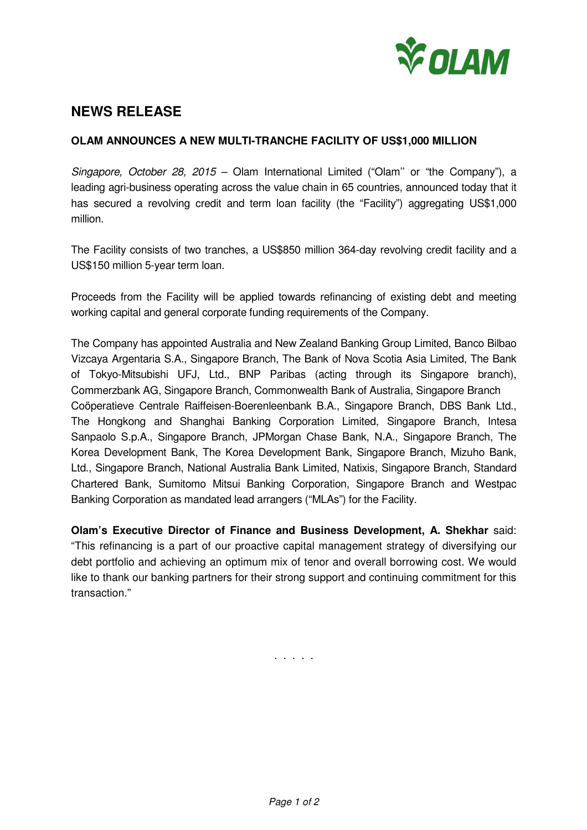

# **NEWS RELEASE**

## **OLAM ANNOUNCES A NEW MULTI-TRANCHE FACILITY OF US\$1,000 MILLION**

Singapore, October 28, 2015 – Olam International Limited ("Olam" or "the Company"), a leading agri-business operating across the value chain in 65 countries, announced today that it has secured a revolving credit and term loan facility (the "Facility") aggregating US\$1,000 million.

The Facility consists of two tranches, a US\$850 million 364-day revolving credit facility and a US\$150 million 5-year term loan.

Proceeds from the Facility will be applied towards refinancing of existing debt and meeting working capital and general corporate funding requirements of the Company.

The Company has appointed Australia and New Zealand Banking Group Limited, Banco Bilbao Vizcaya Argentaria S.A., Singapore Branch, The Bank of Nova Scotia Asia Limited, The Bank of Tokyo-Mitsubishi UFJ, Ltd., BNP Paribas (acting through its Singapore branch), Commerzbank AG, Singapore Branch, Commonwealth Bank of Australia, Singapore Branch Coöperatieve Centrale Raiffeisen-Boerenleenbank B.A., Singapore Branch, DBS Bank Ltd., The Hongkong and Shanghai Banking Corporation Limited, Singapore Branch, Intesa Sanpaolo S.p.A., Singapore Branch, JPMorgan Chase Bank, N.A., Singapore Branch, The Korea Development Bank, The Korea Development Bank, Singapore Branch, Mizuho Bank, Ltd., Singapore Branch, National Australia Bank Limited, Natixis, Singapore Branch, Standard Chartered Bank, Sumitomo Mitsui Banking Corporation, Singapore Branch and Westpac Banking Corporation as mandated lead arrangers ("MLAs") for the Facility.

**Olam's Executive Director of Finance and Business Development, A. Shekhar** said: "This refinancing is a part of our proactive capital management strategy of diversifying our debt portfolio and achieving an optimum mix of tenor and overall borrowing cost. We would like to thank our banking partners for their strong support and continuing commitment for this transaction."

. . . . .